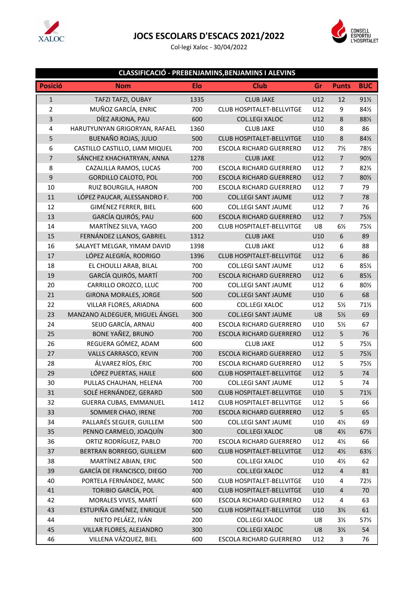

### **JOCS ESCOLARS D'ESCACS 2021/2022**

Col·legi Xaloc - 30/04/2022



#### **CLASSIFICACIÓ - PREBENJAMINS,BENJAMINS I ALEVINS**

| <b>Posició</b>          | <b>Nom</b>                     | <b>Elo</b> | <b>Club</b>                      | Gr  | <b>Punts</b>            | <b>BUC</b>      |
|-------------------------|--------------------------------|------------|----------------------------------|-----|-------------------------|-----------------|
| $\mathbf{1}$            | TAFZI TAFZI, OUBAY             | 1335       | <b>CLUB JAKE</b>                 | U12 | 12                      | $91\%$          |
| $\overline{2}$          | MUÑOZ GARCÍA, ENRIC            | 700        | <b>CLUB HOSPITALET-BELLVITGE</b> | U12 | 9                       | 84½             |
| $\overline{\mathbf{3}}$ | DÍEZ ARJONA, PAU               | 600        | COL.LEGI XALOC                   | U12 | $\,$ 8 $\,$             | 88½             |
| $\pmb{4}$               | HARUTYUNYAN GRIGORYAN, RAFAEL  | 1360       | <b>CLUB JAKE</b>                 | U10 | 8                       | 86              |
| 5                       | BUENAÑO ROJAS, JULIO           | 500        | <b>CLUB HOSPITALET-BELLVITGE</b> | U10 | $\,8$                   | 84½             |
| 6                       | CASTILLO CASTILLO, LIAM MIQUEL | 700        | <b>ESCOLA RICHARD GUERRERO</b>   | U12 | $7\frac{1}{2}$          | 78½             |
| $\overline{7}$          | SÁNCHEZ KHACHATRYAN, ANNA      | 1278       | <b>CLUB JAKE</b>                 | U12 | $\overline{7}$          | 90½             |
| 8                       | CAZALILLA RAMOS, LUCAS         | 700        | <b>ESCOLA RICHARD GUERRERO</b>   | U12 | $\overline{7}$          | 82½             |
| 9                       | <b>GORDILLO CALOTO, POL</b>    | 700        | <b>ESCOLA RICHARD GUERRERO</b>   | U12 | $\overline{7}$          | 80½             |
| 10                      | RUIZ BOURGILA, HARON           | 700        | ESCOLA RICHARD GUERRERO          | U12 | $\overline{7}$          | 79              |
| 11                      | LÓPEZ PAUCAR, ALESSANDRO F.    | 700        | <b>COL.LEGI SANT JAUME</b>       | U12 | $\overline{7}$          | 78              |
| 12                      | GIMÉNEZ FERRER, BIEL           | 600        | <b>COL.LEGI SANT JAUME</b>       | U12 | 7                       | 76              |
| 13                      | GARCÍA QUIRÓS, PAU             | 600        | <b>ESCOLA RICHARD GUERRERO</b>   | U12 | $\overline{7}$          | 75½             |
| 14                      | MARTÍNEZ SILVA, YAGO           | 200        | CLUB HOSPITALET-BELLVITGE        | U8  | $6\frac{1}{2}$          | 75%             |
| 15                      | FERNÁNDEZ LLANOS, GABRIEL      | 1312       | <b>CLUB JAKE</b>                 | U10 | 6                       | 89              |
| 16                      | SALAYET MELGAR, YIMAM DAVID    | 1398       | <b>CLUB JAKE</b>                 | U12 | 6                       | 88              |
| 17                      | LÓPEZ ALEGRÍA, RODRIGO         | 1396       | CLUB HOSPITALET-BELLVITGE        | U12 | 6                       | 86              |
| 18                      | EL CHOULLI ARAB, BILAL         | 700        | <b>COL.LEGI SANT JAUME</b>       | U12 | 6                       | 851/2           |
| 19                      | GARCÍA QUIRÓS, MARTÍ           | 700        | <b>ESCOLA RICHARD GUERRERO</b>   | U12 | 6                       | 85½             |
| 20                      | CARRILLO OROZCO, LLUC          | 700        | <b>COL.LEGI SANT JAUME</b>       | U12 | 6                       | 80½             |
| 21                      | <b>GIRONA MORALES, JORGE</b>   | 500        | <b>COL.LEGI SANT JAUME</b>       | U10 | 6                       | 68              |
| 22                      | VILLAR FLORES, ARIADNA         | 600        | COL.LEGI XALOC                   | U12 | $5\frac{1}{2}$          | 71%             |
| 23                      | MANZANO ALDEGUER, MIGUEL ÁNGEL | 300        | <b>COL.LEGI SANT JAUME</b>       | U8  | $5\frac{1}{2}$          | 69              |
| 24                      | SEIJO GARCÍA, ARNAU            | 400        | <b>ESCOLA RICHARD GUERRERO</b>   | U10 | $5\frac{1}{2}$          | 67              |
| 25                      | BONE YAÑEZ, BRUNO              | 700        | <b>ESCOLA RICHARD GUERRERO</b>   | U12 | 5                       | 76              |
| 26                      | REGUERA GÓMEZ, ADAM            | 600        | <b>CLUB JAKE</b>                 | U12 | 5                       | 75%             |
| 27                      | VALLS CARRASCO, KEVIN          | 700        | <b>ESCOLA RICHARD GUERRERO</b>   | U12 | 5                       | 75%             |
| 28                      | ÁLVAREZ RÍOS, ÉRIC             | 700        | ESCOLA RICHARD GUERRERO          | U12 | 5                       | 75½             |
| 29                      | LÓPEZ PUERTAS, HAILE           | 600        | CLUB HOSPITALET-BELLVITGE        | U12 | 5                       | 74              |
| 30                      | PULLAS CHAUHAN, HELENA         | 700        | <b>COL.LEGI SANT JAUME</b>       | U12 | 5                       | 74              |
| 31                      | SOLÉ HERNÁNDEZ, GERARD         | 500        | <b>CLUB HOSPITALET-BELLVITGE</b> | U10 | 5                       | $71\frac{1}{2}$ |
| 32                      | <b>GUERRA CUBAS, EMMANUEL</b>  | 1412       | CLUB HOSPITALET-BELLVITGE        | U12 | 5                       | 66              |
| 33                      | SOMMER CHAO, IRENE             | 700        | <b>ESCOLA RICHARD GUERRERO</b>   | U12 | 5                       | 65              |
| 34                      | PALLARÉS SEGUER, GUILLEM       | 500        | <b>COL.LEGI SANT JAUME</b>       | U10 | $4\frac{1}{2}$          | 69              |
| 35                      | PENNO CARMELO, JOAQUÍN         | 300        | COL.LEGI XALOC                   | U8  | $4\frac{1}{2}$          | 67%             |
| 36                      | ORTIZ RODRÍGUEZ, PABLO         | 700        | <b>ESCOLA RICHARD GUERRERO</b>   | U12 | $4\frac{1}{2}$          | 66              |
| 37                      | BERTRAN BORREGO, GUILLEM       | 600        | CLUB HOSPITALET-BELLVITGE        | U12 | $4\frac{1}{2}$          | 63½             |
| 38                      | MARTÍNEZ ABIAN, ERIC           | 500        | COL.LEGI XALOC                   | U10 | $4\frac{1}{2}$          | 62              |
| 39                      | GARCÍA DE FRANCISCO, DIEGO     | 700        | COL.LEGI XALOC                   | U12 | $\overline{\mathbf{4}}$ | 81              |
| 40                      | PORTELA FERNÁNDEZ, MARC        | 500        | <b>CLUB HOSPITALET-BELLVITGE</b> | U10 | 4                       | 72½             |
| 41                      | TORIBIO GARCÍA, POL            | 400        | <b>CLUB HOSPITALET-BELLVITGE</b> | U10 | $\overline{\mathbf{4}}$ | 70              |
| 42                      | MORALES VIVES, MARTÍ           | 600        | <b>ESCOLA RICHARD GUERRERO</b>   | U12 | $\overline{\mathbf{4}}$ | 63              |
| 43                      | ESTUPIÑA GIMÉNEZ, ENRIQUE      | 500        | CLUB HOSPITALET-BELLVITGE        | U10 | $3\frac{1}{2}$          | 61              |
| 44                      | NIETO PELÁEZ, IVÁN             | 200        | COL.LEGI XALOC                   | U8  | $3\frac{1}{2}$          | 57½             |
| 45                      | VILLAR FLORES, ALEJANDRO       | 300        | COL.LEGI XALOC                   | U8  | $3\frac{1}{2}$          | 54              |
| 46                      | VILLENA VÁZQUEZ, BIEL          | 600        | ESCOLA RICHARD GUERRERO          | U12 | 3                       | 76              |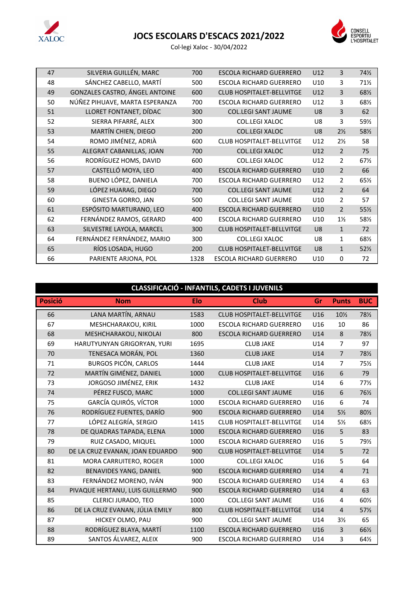

## **JOCS ESCOLARS D'ESCACS 2021/2022**



Col·legi Xaloc - 30/04/2022

| 47 | SILVERIA GUILLÉN, MARC         | 700  | ESCOLA RICHARD GUERRERO          | U12            | 3              | 74½             |
|----|--------------------------------|------|----------------------------------|----------------|----------------|-----------------|
| 48 | SÁNCHEZ CABELLO, MARTÍ         | 500  | <b>ESCOLA RICHARD GUERRERO</b>   | U10            | 3              | $71\frac{1}{2}$ |
| 49 | GONZALES CASTRO, ÁNGEL ANTOINE | 600  | <b>CLUB HOSPITALET-BELLVITGE</b> | U12            | 3              | 68½             |
| 50 | NÚÑEZ PIHUAVE, MARTA ESPERANZA | 700  | <b>ESCOLA RICHARD GUERRERO</b>   | U12            | 3              | 681/2           |
| 51 | LLORET FONTANET, DÍDAC         | 300  | <b>COL.LEGI SANT JAUME</b>       | U8             | 3              | 62              |
| 52 | SIERRA PIFARRÉ, ALEX           | 300  | <b>COL.LEGI XALOC</b>            | U8             | 3              | 59½             |
| 53 | MARTÍN CHIEN, DIEGO            | 200  | <b>COL.LEGI XALOC</b>            | U <sub>8</sub> | $2\frac{1}{2}$ | 581/2           |
| 54 | ROMO JIMÉNEZ, ADRIÀ            | 600  | <b>CLUB HOSPITALET-BELLVITGE</b> | U12            | $2\frac{1}{2}$ | 58              |
| 55 | ALEGRAT CABANILLAS, JOAN       | 700  | <b>COL.LEGI XALOC</b>            | U12            | $\overline{2}$ | 75              |
| 56 | RODRÍGUEZ HOMS, DAVID          | 600  | <b>COL.LEGI XALOC</b>            | U12            | $\overline{2}$ | 67½             |
| 57 | CASTELLÓ MOYA, LEO             | 400  | <b>ESCOLA RICHARD GUERRERO</b>   | U10            | $\overline{2}$ | 66              |
| 58 | BUENO LÓPEZ, DANIELA           | 700  | <b>ESCOLA RICHARD GUERRERO</b>   | U12            | $\overline{2}$ | 65½             |
| 59 | LÓPEZ HUARAG, DIEGO            | 700  | <b>COL.LEGI SANT JAUME</b>       | U12            | $\overline{2}$ | 64              |
| 60 | GINESTA GORRO, JAN             | 500  | <b>COL.LEGI SANT JAUME</b>       | U10            | $\overline{2}$ | 57              |
| 61 | ESPÓSITO MARTURANO, LEO        | 400  | <b>ESCOLA RICHARD GUERRERO</b>   | U10            | $\overline{2}$ | 55½             |
| 62 | FERNÁNDEZ RAMOS, GERARD        | 400  | <b>ESCOLA RICHARD GUERRERO</b>   | U10            | $1\frac{1}{2}$ | 58½             |
| 63 | SILVESTRE LAYOLA, MARCEL       | 300  | <b>CLUB HOSPITALET-BELLVITGE</b> | U <sub>8</sub> | $\mathbf{1}$   | 72              |
| 64 | FERNÁNDEZ FERNÁNDEZ, MARIO     | 300  | <b>COL.LEGI XALOC</b>            | U8             | 1              | 68½             |
| 65 | RÍOS LOSADA, HUGO              | 200  | <b>CLUB HOSPITALET-BELLVITGE</b> | U <sub>8</sub> | $\mathbf{1}$   | 52%             |
| 66 | PARIENTE ARJONA, POL           | 1328 | <b>ESCOLA RICHARD GUERRERO</b>   | U10            | 0              | 72              |

#### **CLASSIFICACIÓ - INFANTILS, CADETS I JUVENILS**

| <b>Posició</b> | <b>Nom</b>                      | Elo  | <b>Club</b>                      | Gr  | <b>Punts</b>   | <b>BUC</b>      |
|----------------|---------------------------------|------|----------------------------------|-----|----------------|-----------------|
| 66             | LANA MARTÍN, ARNAU              | 1583 | <b>CLUB HOSPITALET-BELLVITGE</b> | U16 | 10½            | 781/2           |
| 67             | MESHCHARAKOU, KIRIL             | 1000 | <b>ESCOLA RICHARD GUERRERO</b>   | U16 | 10             | 86              |
| 68             | MESHCHARAKOU, NIKOLAI           | 800  | <b>ESCOLA RICHARD GUERRERO</b>   | U14 | 8              | 781/2           |
| 69             | HARUTYUNYAN GRIGORYAN, YURI     | 1695 | <b>CLUB JAKE</b>                 | U14 | $\overline{7}$ | 97              |
| 70             | TENESACA MORÁN, POL             | 1360 | <b>CLUB JAKE</b>                 | U14 | $\overline{7}$ | 781/2           |
| 71             | <b>BURGOS PICÓN, CARLOS</b>     | 1444 | <b>CLUB JAKE</b>                 | U14 | $\overline{7}$ | 75½             |
| 72             | MARTÍN GIMÉNEZ, DANIEL          | 1000 | <b>CLUB HOSPITALET-BELLVITGE</b> | U16 | 6              | 79              |
| 73             | JORGOSO JIMÉNEZ, ERIK           | 1432 | <b>CLUB JAKE</b>                 | U14 | 6              | $77\frac{1}{2}$ |
| 74             | PÉREZ FUSCO, MARC               | 1000 | <b>COL.LEGI SANT JAUME</b>       | U16 | 6              | 76½             |
| 75             | <b>GARCÍA QUIRÓS, VÍCTOR</b>    | 1000 | <b>ESCOLA RICHARD GUERRERO</b>   | U16 | 6              | 74              |
| 76             | RODRÍGUEZ FUENTES, DARÍO        | 900  | <b>ESCOLA RICHARD GUERRERO</b>   | U14 | $5\frac{1}{2}$ | 80½             |
| 77             | LÓPEZ ALEGRÍA, SERGIO           | 1415 | <b>CLUB HOSPITALET-BELLVITGE</b> | U14 | $5\frac{1}{2}$ | 68½             |
| 78             | DE QUADRAS TAPADA, ELENA        | 1000 | <b>ESCOLA RICHARD GUERRERO</b>   | U16 | 5              | 83              |
| 79             | RUIZ CASADO, MIQUEL             | 1000 | <b>ESCOLA RICHARD GUERRERO</b>   | U16 | 5              | 79½             |
| 80             | DE LA CRUZ EVANAN, JOAN EDUARDO | 900  | <b>CLUB HOSPITALET-BELLVITGE</b> | U14 | 5              | 72              |
| 81             | MORA CARRUITERO, ROGER          | 1000 | <b>COL.LEGI XALOC</b>            | U16 | 5              | 64              |
| 82             | BENAVIDES YANG, DANIEL          | 900  | <b>ESCOLA RICHARD GUERRERO</b>   | U14 | $\overline{4}$ | 71              |
| 83             | FERNÁNDEZ MORENO, IVÁN          | 900  | <b>ESCOLA RICHARD GUERRERO</b>   | U14 | 4              | 63              |
| 84             | PIVAQUE HERTANU, LUIS GUILLERMO | 900  | <b>ESCOLA RICHARD GUERRERO</b>   | U14 | $\overline{4}$ | 63              |
| 85             | CLERICI JURADO, TEO             | 1000 | <b>COL.LEGI SANT JAUME</b>       | U16 | 4              | 60%             |
| 86             | DE LA CRUZ EVANAN, JÚLIA EMILY  | 800  | <b>CLUB HOSPITALET-BELLVITGE</b> | U14 | $\overline{4}$ | 57%             |
| 87             | HICKEY OLMO, PAU                | 900  | <b>COL.LEGI SANT JAUME</b>       | U14 | $3\frac{1}{2}$ | 65              |
| 88             | RODRÍGUEZ BLAYA, MARTÍ          | 1100 | <b>ESCOLA RICHARD GUERRERO</b>   | U16 | $\overline{3}$ | 66½             |
| 89             | SANTOS ÁLVAREZ, ALEIX           | 900  | <b>ESCOLA RICHARD GUERRERO</b>   | U14 | 3              | 64½             |